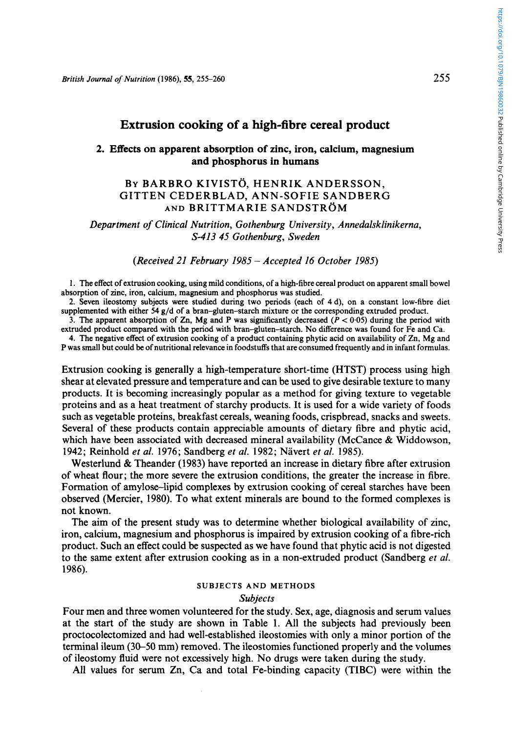# **Extrusion cooking of a high-fibre cereal product**

## **2. Effects on apparent absorption of zinc, iron, calcium, magnesium and phosphorus in humans**

## BY BARBRO KIVISTO, HENRIK ANDERSSON, AND BRITTMARIE SANDSTRÖM GITTEN CEDERBLAD, ANN-SOFIE SANDBERG

*Department of Clinical Nutrition, Gothenburg University, Annedalsklinikerna, 4413 45 Gothenburg, Sweden* 

*(Received 21 February 1985* - *Accepted 16 October 1985)* 

**1.** The effect of extrusion cooking, using mild conditions, of a high-fibre cereal product on apparent small bowel absorption of zinc, iron, calcium, magnesium and phosphorus was studied.

**2.** Seven ileostomy subjects were studied during two periods (each of 4d), on a constant low-fibre diet supplemented with either **54** g/d of a bran-gluten-starch mixture or the corresponding extruded product.

3. The apparent absorption of Zn, Mg and P was significantly decreased  $(P < 0.05)$  during the period with extruded product compared with the period with bran-gluten-starch. **No** difference was found for Fe and Ca.

**4.** The negative effect of extrusion cooking of a product containing phytic acid on availability of Zn, Mg and P was small but could be of nutritional relevance in foodstuffs that are consumed frequently and in infant formulas.

Extrusion cooking is generally a high-temperature short-time (HTST) process using high shear at elevated pressure and temperature and can be used to give desirable texture to many products. It is becoming increasingly popular as a method for giving texture to vegetable proteins and as a heat treatment of starchy products. It is used for a wide variety of foods such as vegetable proteins, breakfast cereals, weaning foods, crispbread, snacks and sweets. Several of these products contain appreciable amounts of dietary fibre and phytic acid, which have been associated with decreased mineral availability (McCance & Widdowson, **1942;** Reinhold *et al.* **1976;** Sandberg *el al.* **1982;** Navert *et al.* **1985).** 

Westerlund & Theander **(1983)** have reported an increase in dietary fibre after extrusion of wheat flour; the more severe the extrusion conditions, the greater the increase in fibre. Formation of amylose-lipid complexes by extrusion cooking of cereal starches have been observed (Mercier, 1980). To what extent minerals are bound to the formed complexes is not known.

The aim of the present study was to determine whether biological availability of zinc, iron, calcium, magnesium and phosphorus is impaired by extrusion cooking of a fibre-rich product. Such an effect could be suspected as we have found that phytic acid is not digested to the same extent after extrusion cooking as in a non-extruded product (Sandberg *et al.*  **1986).** 

# **SUBJECTS AND METHODS**

#### *Subjects*

Four men and three women volunteered for the study. Sex, age, diagnosis and serum values at the start of the study are shown in Table 1. All the subjects had previously been proctocolectomized and had well-established ileostomies with only a minor portion of the terminal ileum **(30-50** mm) removed. The ileostomies functioned properly and the volumes of ileostomy fluid were not excessively high. No drugs were taken during the study.

All values for serum Zn, Ca and total Fe-binding capacity (TIBC) were within the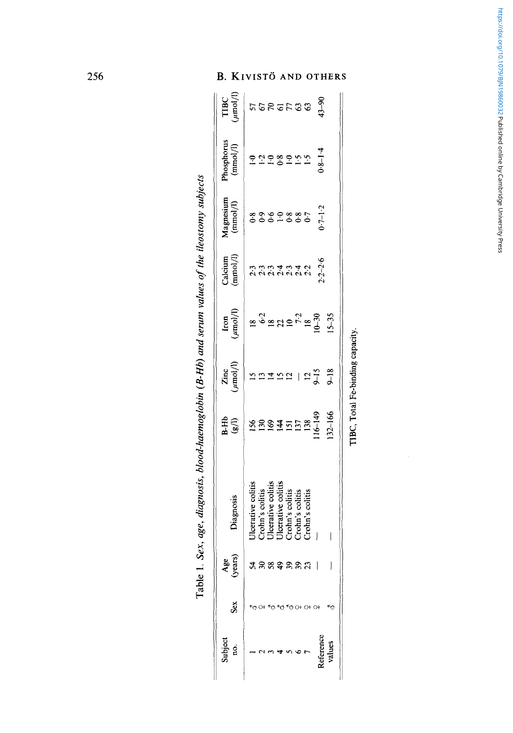| Subject<br>ġ | Sex         | Age<br>(years) | Diagnosis                             | $\frac{\text{Zinc}}{\text{(mmol/l)}}$<br>15<br>13 | $\left(\frac{\text{Im}\sigma}{\text{Im}\sigma}\right)$<br>$\left(\frac{\text{Im}\sigma}{\text{Im}\sigma}\right)$<br>$\frac{\text{Im}\sigma}{\text{Im}\sigma}$<br>$\frac{\text{Im}\sigma}{\text{Im}\sigma}$<br>$\frac{\text{Im}\sigma}{\text{Im}\sigma}$<br>$\frac{\text{Im}\sigma}{\text{Im}\sigma}$ | Magnesium<br>( <i>immed</i> )<br>$(3.8)$<br>$(3.8)$<br>$(3.8)$<br>$(3.8)$<br>$(3.8)$<br>$(3.8)$<br>$(3.8)$<br>$(3.7)$<br>$(3.7)$ | $\begin{array}{c} \rm{Phosphorus} \\ \rm{(mmo1/l)} \end{array}$ | <b>HEC</b><br><i>ST</i><br><i>ST</i><br><i>ST</i><br><i>ST</i><br><i>ST</i><br><i>ST</i><br><i>ST</i><br><i>ST</i><br><i>ST</i><br><i>ST</i><br><i>ST</i><br><i>ST</i><br><i>ST</i> |
|--------------|-------------|----------------|---------------------------------------|---------------------------------------------------|------------------------------------------------------------------------------------------------------------------------------------------------------------------------------------------------------------------------------------------------------------------------------------------------------|----------------------------------------------------------------------------------------------------------------------------------|-----------------------------------------------------------------|-------------------------------------------------------------------------------------------------------------------------------------------------------------------------------------|
|              |             |                | 'Icerative colitis                    |                                                   |                                                                                                                                                                                                                                                                                                      |                                                                                                                                  |                                                                 |                                                                                                                                                                                     |
|              |             |                |                                       |                                                   |                                                                                                                                                                                                                                                                                                      |                                                                                                                                  |                                                                 |                                                                                                                                                                                     |
|              |             | ននទុននន        | Crohn's colitis<br>Uleerative colitis |                                                   |                                                                                                                                                                                                                                                                                                      |                                                                                                                                  |                                                                 |                                                                                                                                                                                     |
|              |             |                |                                       |                                                   |                                                                                                                                                                                                                                                                                                      |                                                                                                                                  |                                                                 |                                                                                                                                                                                     |
|              |             |                | Ulcerative colitis<br>Crohn's colitis |                                                   |                                                                                                                                                                                                                                                                                                      |                                                                                                                                  |                                                                 |                                                                                                                                                                                     |
|              |             |                | Crohn's colitis<br>Crohn's colitis    |                                                   |                                                                                                                                                                                                                                                                                                      |                                                                                                                                  |                                                                 |                                                                                                                                                                                     |
|              | 50 O+ O+ O+ |                |                                       |                                                   |                                                                                                                                                                                                                                                                                                      |                                                                                                                                  |                                                                 |                                                                                                                                                                                     |
| eference     |             |                | I                                     | 152   25                                          |                                                                                                                                                                                                                                                                                                      |                                                                                                                                  | $-2289$<br>$-289$<br>$-59$<br>$-19$<br>$-14$<br>$-14$           |                                                                                                                                                                                     |
| alues        |             |                |                                       | $8 - 18$                                          |                                                                                                                                                                                                                                                                                                      |                                                                                                                                  |                                                                 |                                                                                                                                                                                     |

Table 1. Sex, age, diagnosis, blood-haemoglobin (B-Hb) and serum values of the ileostomy subjects **Table 1.** *Sex, age, diagnosis, blood-haemogiobin (B-Hb) and serum values of lhe ileostomy subjects* 

**TIBC, Total Fe-binding capacity.**  TIBC, Total Fe-binding capacity.

#### .<br>ОТНЕ  $\mathbf{D}$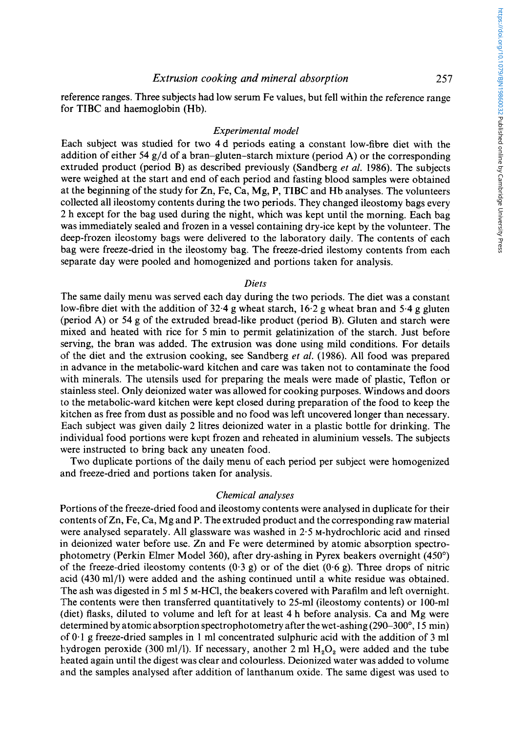*Extrusion cooking and mineral absorption* **257** 

reference ranges. Three subjects had low serum Fe values, but fell within the reference range for TIBC and haemoglobin (Hb).

### *Experimental model*

Each subject was studied for two 4d periods eating a constant low-fibre diet with the addition of either **54** g/d of a bran-gluten-starch mixture (period **A)** or the corresponding extruded product (period B) as described previously (Sandberg *et al.* **1986).** The subjects were weighed at the start and end of each period and fasting blood samples were obtained at the beginning of the study for Zn, Fe, Ca, Mg, P, TIBC and Hb analyses. The volunteers collected all ileostomy contents during the two periods. They changed ileostomy bags every **2** h except for the bag used during the night, which was kept until the morning. Each bag was immediately sealed and frozen in a vessel containing dry-ice kept by the volunteer. The deep-frozen ileostomy bags were delivered to the laboratory daily. The contents of each bag were freeze-dried in the ileostomy bag. The freeze-dried ilestomy contents from each separate day were pooled and homogenized and portions taken for analysis.

### *Diets*

The same daily menu was served each day during the two periods. The diet was a constant low-fibre diet with the addition of **32.4** g wheat starch, 16.2 g wheat bran and **5.4** g gluten (period **A)** or 54 g of the extruded bread-like product (period B). Gluten and starch were mixed and heated with rice for 5 min to permit gelatinization of the starch. Just before serving, the bran was added. The extrusion was done using mild conditions. For details of the diet and the extrusion cooking, see Sandberg *et al.* (1986). All food was prepared in advance in the metabolic-ward kitchen and care was taken not to contaminate the food with minerals. The utensils used for preparing the meals were made of plastic, Teflon or stainless steel. Only deionized water was allowed for cooking purposes. Windows and doors to the metabolic-ward kitchen were kept closed during preparation of the food to keep the kitchen as free from dust as possible and no food was left uncovered longer than necessary. Each subject was given daily **2** litres deionized water in a plastic bottle for drinking. The individual food portions were kcpt frozen and reheated in aluminium vessels. The subjects were instructed to bring back any uneaten food.

Two duplicate portions of the daily menu of each period per subject were homogenized and freeze-dried and portions taken for analysis.

#### *Chemical analyses*

Portions of the freeze-dried food and ileostomy contents were analysed in duplicate for their contents of Zn, Fe, Ca, Mg and P. The extruded product and the corresponding raw material were analysed separately. **All** glassware was washed in **2.5** M-hydrochloric acid and rinsed in deionized water before use. Zn and Fe were determined by atomic absorption spectrophotometry (Perkin Elmer Model **360),** after dry-ashing in Pyrex beakers overnight (450") of the freeze-dried ileostomy contents **(0.3** g) or of the diet **(0-6** g). Three drops of nitric acid (430 ml/l) were added and the ashing continued until a white residue was obtained. The ash was digested in 5 ml 5 M-HCl, the beakers covered with Parafilm and left overnight. The contents were then transferred quantitatively to 25-ml (ileostomy contents) or 100-ml (diet) flasks, diluted to volume and left for at least **4** h before analysis. Ca and Mg were determined by atomic absorption spectrophotometry after the wet-ashing  $(290-300^{\circ}, 15 \text{ min})$ of 0.1 g freeze-dried samples in 1 ml concentrated sulphuric acid with the addition of *3* ml hydrogen peroxide (300 ml/l). If necessary, another 2 ml H<sub>2</sub>O<sub>2</sub> were added and the tube heated again until the digest was clear and colourless. Deionized water was added to volume and the samples analysed after addition of lanthanum oxide. The same digest was used to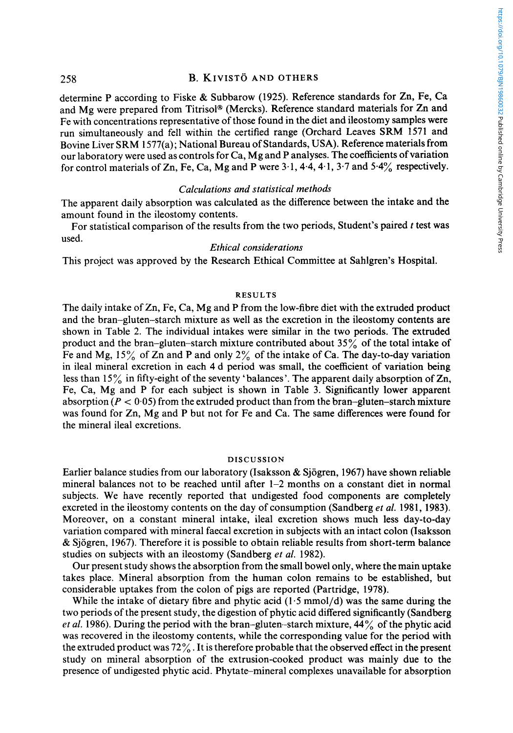# **258 B. KIVISTO AND OTHERS**

determine **P** according to Fiske & Subbarow (1925). Reference standards for Zn, Fe, Ca and Mg were prepared from Titrisol® (Mercks). Reference standard materials for Zn and Fe with concentrations representative of those found in the diet and ileostomy samples were run simultaneously and fell within the certified range (Orchard Leaves SRM 1571 and Bovine Liver SRM 1577(a); National Bureau of Standards, **USA).** Reference materials from our laboratory were used as controls for Ca, Mg and P analyses. The coefficients of variation for control materials of Zn, Fe, Ca, Mg and P were 3.1,4.4,4.1, 3.7 and **5.4%** respectively.

## *Calculations and statistical methods*

The apparent daily absorption was calculated as the difference between the intake and the amount found in the ileostomy contents.

For statistical comparison of the results from the two periods, Student's paired *t* test was used.

### *Ethical considerations*

This project was approved by the Research Ethical Committee at Sahlgren's Hospital.

### **RESULTS**

The daily intake of Zn, Fe, Ca, Mg and P from the low-fibre diet with the extruded product and the bran-gluten-starch mixture as well as the excretion in the ileostomy contents are shown in Table 2. The individual intakes were similar in the two periods. The extruded product and the bran-gluten-starch mixture contributed about 35% of the total intake of Fe and Mg,  $15\%$  of Zn and P and only  $2\%$  of the intake of Ca. The day-to-day variation in ileal mineral excretion in each 4 d period was small, the coefficient of variation being less than 15% in fifty-eight of the seventy 'balances'. The apparent daily absorption of Zn, Fe, Ca, Mg and P for each subject is shown in Table 3. Significantly lower apparent absorption  $(P < 0.05)$  from the extruded product than from the bran-gluten-starch mixture was found for Zn, Mg and P but not for Fe and Ca. The same differences were found for the mineral ileal excretions.

#### **DISCUSSION**

Earlier balance studies from our laboratory (Isaksson & Sjogren, 1967) have shown reliable mineral balances not to be reached until after  $1-2$  months on a constant diet in normal subjects. We have recently reported that undigested food components are completely excreted in the ileostomy contents on the day of consumption (Sandberg *et al.* 1981, 1983). Moreover, on a constant mineral intake, ileal excretion shows much less day-to-day variation compared with mineral faecal excretion in subjects with an intact colon (Isaksson & Sjogren, 1967). Therefore it is possible to obtain reliable results from short-term balance studies on subjects with an ileostomy (Sandberg *et al.* 1982).

Our present study shows the absorption from the small bowel only, where the main uptake takes place. Mineral absorption from the human colon remains to be established, but considerable uptakes from the colon of pigs are reported (Partridge, 1978).

While the intake of dietary fibre and phytic acid  $(1.5 \text{ mmol/d})$  was the same during the two periods of the present study, the digestion of phytic acid differed significantly (Sandberg *et al.* 1986). During the period with the bran-gluten-starch mixture, 44% of the phytic acid was recovered in the ileostomy contents, while the corresponding value for the period with the extruded product was  $72\%$ . It is therefore probable that the observed effect in the present study on mineral absorption of the extrusion-cooked product was mainly due to the presence of undigested phytic acid. Phytate-mineral complexes unavailable for absorption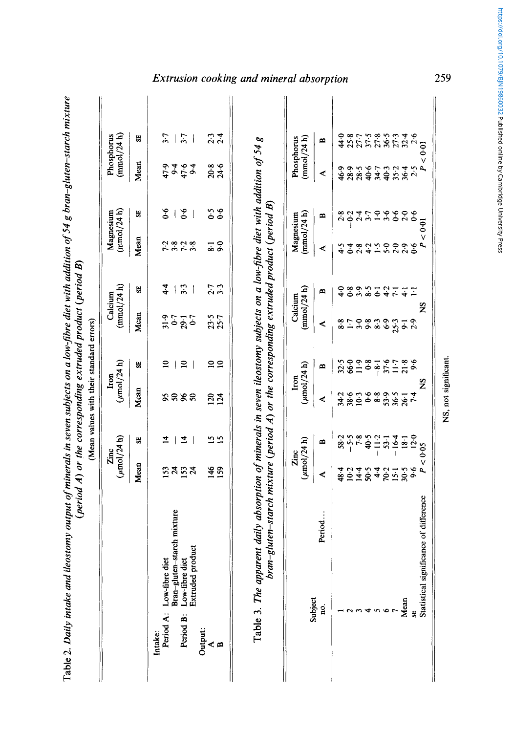| (mmol/24 h)<br>Phosphorus | S.<br>Mean<br>읽 | $\frac{1}{2}$<br>3.7<br>$\mathbf{1}$<br>9494<br>47.9<br>$\frac{6}{6}$   $\frac{6}{6}$<br>$\overline{\phantom{a}}$       | $\frac{2}{3}$ .4<br>20.8<br>24.6<br>$\begin{array}{c} 5 \\ 0 \\ 0 \end{array}$ | Extrusion cooking and mineral absorption<br>Phosphorus<br>(mmol/24 h) | $\blacksquare$<br>≺<br>$\blacksquare$ | 4.0<br>25.8<br>46.9<br>2<br>2014<br>2015 | 27.7<br>28.5<br>28.5 | 37.5<br>40.6<br>3.7 | 27.8<br>40.3<br>$34 - 7$<br>$\ddot{ }$<br>3.6 | 85346<br>8534<br>$35.2$<br>$36.4$<br>$\begin{array}{c}\n 0.6 \\  0.6\n \end{array}$ |      |
|---------------------------|-----------------|-------------------------------------------------------------------------------------------------------------------------|--------------------------------------------------------------------------------|-----------------------------------------------------------------------|---------------------------------------|------------------------------------------|----------------------|---------------------|-----------------------------------------------|-------------------------------------------------------------------------------------|------|
| (mmol/24 h)<br>Magnesium  | Mean            | つきこきり                                                                                                                   | $\frac{1}{8}$                                                                  | (mmol/24 h)<br>Magnesium                                              | ⋖                                     | \$.4<br>$\overline{0}$                   | 2.8                  |                     | $4.50$<br>$5.5$                               | $\frac{1}{2}$<br>$\frac{1}{2}$<br>$\frac{1}{2}$                                     |      |
| (mmol/24 h)<br>Calcium    | SE)             | $4-4$<br>3.3<br>$\vert$<br>$\overline{\phantom{a}}$                                                                     | 2.7<br>7.3                                                                     | (mmol/24 h)<br>Calcium                                                | $\blacksquare$                        | $\ddot{ }$<br>68                         | 3.9                  | $\frac{8}{5}$       | $-3.7 - 7.7$                                  |                                                                                     |      |
|                           | Mean            | 50<br>1990<br>1995                                                                                                      | $23.5$<br>$25.7$                                                               |                                                                       | ≺                                     | $-8.8$                                   |                      |                     | 0 8 9 9 9 9 7 9<br>0 9 8 9 9 9 0 1            |                                                                                     |      |
| $(\mu$ mol/24 h)<br>Iron  | £.              | $\mathbf{a}$<br>$\mathbf{r}$<br>$\mathbf{I}$                                                                            | $\frac{1}{2}$                                                                  | $(\mu$ mol $/24$ h)<br>Iron                                           | $\blacksquare$                        | 32.5<br>66.0                             | 11.9                 | 0.8                 | $-8 - 1$                                      | $\frac{57.8}{51.8}$                                                                 |      |
|                           | Mean            | 8888                                                                                                                    | $\frac{123}{124}$                                                              |                                                                       | ⋖                                     | $3893$<br>$382$                          |                      |                     | 6899777                                       |                                                                                     |      |
| $(\mu$ mol/24 h)<br>Zinc  | 氏               | $\overline{4}$<br>4                                                                                                     | <u>n s</u>                                                                     | $(\mu$ mol/24 h)<br>Zinc                                              | m                                     | $58.2$<br>$-5.5$<br>7.8                  |                      | 40.5                | $-11.2$<br>$-16.4$<br>$-18.1$<br>$-18.1$      |                                                                                     |      |
|                           | Mean            | ន្ទងន្ទង                                                                                                                | $rac{46}{150}$                                                                 |                                                                       | ⋖                                     | 48.4<br>$10-2$                           | 14.4                 | 50.5                |                                               | 8.1888                                                                              |      |
|                           |                 | Bran-gluten-starch mixture<br>Extruded product<br>Low-fibre diet<br>Low-fibre diet<br>Period A:<br>Period B:<br>Intake: | Output:<br>< ¤                                                                 |                                                                       | Period<br>Subject<br>no.              |                                          |                      |                     | ه                                             |                                                                                     | Mean |

Table 2. Daily intake and ileostomy output of minerals in seven subjects on a low-fibre diet with addition of 54 g bran-gluten-starch mixture **Table 2.** *Daily intake and ileostomy output of minerals in seven subjects on a low-&bre diet with addition of 54 g bran-gluten-starch mixture* 

https://doi.org/10.1079/BJN19860032 Published online by Cambridge University Press https://doi.org/10.1079/BJN19860032 Published online by Cambridge University Press

 $SO(3)$  significant.  $\Omega$ NS, not significant.

**259**